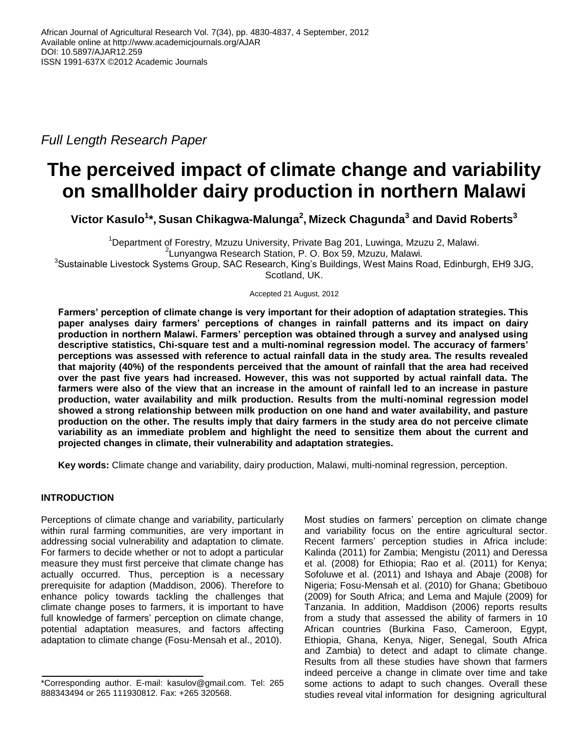*Full Length Research Paper*

# **The perceived impact of climate change and variability on smallholder dairy production in northern Malawi**

**Victor Kasulo<sup>1</sup> \*, Susan Chikagwa-Malunga 2 , Mizeck Chagunda<sup>3</sup> and David Roberts<sup>3</sup>**

<sup>1</sup>Department of Forestry, Mzuzu University, Private Bag 201, Luwinga, Mzuzu 2, Malawi. 2 Lunyangwa Research Station, P. O. Box 59, Mzuzu, Malawi. <sup>3</sup>Sustainable Livestock Systems Group, SAC Research, King's Buildings, West Mains Road, Edinburgh, EH9 3JG, Scotland, UK.

Accepted 21 August, 2012

**Farmers' perception of climate change is very important for their adoption of adaptation strategies. This paper analyses dairy farmers' perceptions of changes in rainfall patterns and its impact on dairy production in northern Malawi. Farmers' perception was obtained through a survey and analysed using descriptive statistics, Chi-square test and a multi-nominal regression model. The accuracy of farmers' perceptions was assessed with reference to actual rainfall data in the study area. The results revealed that majority (40%) of the respondents perceived that the amount of rainfall that the area had received over the past five years had increased. However, this was not supported by actual rainfall data. The farmers were also of the view that an increase in the amount of rainfall led to an increase in pasture production, water availability and milk production. Results from the multi-nominal regression model showed a strong relationship between milk production on one hand and water availability, and pasture production on the other. The results imply that dairy farmers in the study area do not perceive climate variability as an immediate problem and highlight the need to sensitize them about the current and projected changes in climate, their vulnerability and adaptation strategies.**

**Key words:** Climate change and variability, dairy production, Malawi, multi-nominal regression, perception.

# **INTRODUCTION**

Perceptions of climate change and variability, particularly within rural farming communities, are very important in addressing social vulnerability and adaptation to climate. For farmers to decide whether or not to adopt a particular measure they must first perceive that climate change has actually occurred. Thus, perception is a necessary prerequisite for adaption (Maddison, 2006). Therefore to enhance policy towards tackling the challenges that climate change poses to farmers, it is important to have full knowledge of farmers' perception on climate change, potential adaptation measures, and factors affecting adaptation to climate change (Fosu-Mensah et al., 2010).

Most studies on farmers' perception on climate change and variability focus on the entire agricultural sector. Recent farmers' perception studies in Africa include: Kalinda (2011) for Zambia; Mengistu (2011) and Deressa et al. (2008) for Ethiopia; Rao et al. (2011) for Kenya; Sofoluwe et al. (2011) and Ishaya and Abaje (2008) for Nigeria; Fosu-Mensah et al. (2010) for Ghana; Gbetibouo (2009) for South Africa; and Lema and Majule (2009) for Tanzania. In addition, Maddison (2006) reports results from a study that assessed the ability of farmers in 10 African countries (Burkina Faso, Cameroon, Egypt, Ethiopia, Ghana, Kenya, Niger, Senegal, South Africa and Zambia) to detect and adapt to climate change. Results from all these studies have shown that farmers indeed perceive a change in climate over time and take some actions to adapt to such changes. Overall these studies reveal vital information for designing agricultural

<sup>\*</sup>Corresponding author. E-mail: kasulov@gmail.com. Tel: 265 888343494 or 265 111930812. Fax: +265 320568.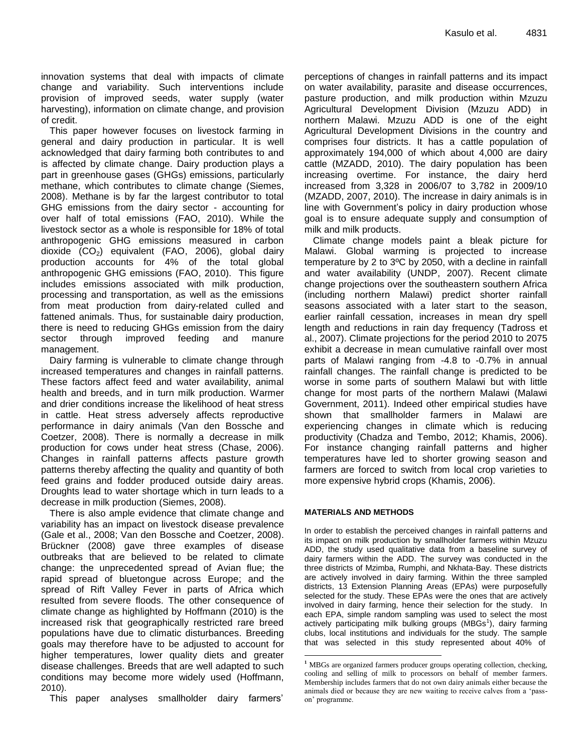innovation systems that deal with impacts of climate change and variability. Such interventions include provision of improved seeds, water supply (water harvesting), information on climate change, and provision of credit.

This paper however focuses on livestock farming in general and dairy production in particular. It is well acknowledged that dairy farming both contributes to and is affected by climate change. Dairy production plays a part in greenhouse gases (GHGs) emissions, particularly methane, which contributes to climate change (Siemes, 2008). Methane is by far the largest contributor to total GHG emissions from the dairy sector - accounting for over half of total emissions (FAO, 2010). While the livestock sector as a whole is responsible for 18% of total anthropogenic GHG emissions measured in carbon dioxide  $(CO_2)$  equivalent (FAO, 2006), global dairy production accounts for 4% of the total global anthropogenic GHG emissions (FAO, 2010). This figure includes emissions associated with milk production, processing and transportation, as well as the emissions from meat production from dairy-related culled and fattened animals. Thus, for sustainable dairy production, there is need to reducing GHGs emission from the dairy sector through improved feeding and manure management.

Dairy farming is vulnerable to climate change through increased temperatures and changes in rainfall patterns. These factors affect feed and water availability, animal health and breeds, and in turn milk production. Warmer and drier conditions increase the likelihood of heat stress in cattle. Heat stress adversely affects reproductive performance in dairy animals (Van den Bossche and Coetzer, 2008). There is normally a decrease in milk production for cows under heat stress (Chase, 2006). Changes in rainfall patterns affects pasture growth patterns thereby affecting the quality and quantity of both feed grains and fodder produced outside dairy areas. Droughts lead to water shortage which in turn leads to a decrease in milk production (Siemes, 2008).

There is also ample evidence that climate change and variability has an impact on livestock disease prevalence (Gale et al., 2008; Van den Bossche and Coetzer, 2008). Brückner (2008) gave three examples of disease outbreaks that are believed to be related to climate change: the unprecedented spread of Avian flue; the rapid spread of bluetongue across Europe; and the spread of Rift Valley Fever in parts of Africa which resulted from severe floods. The other consequence of climate change as highlighted by Hoffmann (2010) is the increased risk that geographically restricted rare breed populations have due to climatic disturbances. Breeding goals may therefore have to be adjusted to account for higher temperatures, lower quality diets and greater disease challenges. Breeds that are well adapted to such conditions may become more widely used (Hoffmann, 2010).

This paper analyses smallholder dairy farmers'

perceptions of changes in rainfall patterns and its impact on water availability, parasite and disease occurrences, pasture production, and milk production within Mzuzu Agricultural Development Division (Mzuzu ADD) in northern Malawi. Mzuzu ADD is one of the eight Agricultural Development Divisions in the country and comprises four districts. It has a cattle population of approximately 194,000 of which about 4,000 are dairy cattle (MZADD, 2010). The dairy population has been increasing overtime. For instance, the dairy herd increased from 3,328 in 2006/07 to 3,782 in 2009/10 (MZADD, 2007, 2010). The increase in dairy animals is in line with Government's policy in dairy production whose goal is to ensure adequate supply and consumption of milk and milk products.

Climate change models paint a bleak picture for Malawi. Global warming is projected to increase temperature by 2 to 3ºC by 2050, with a decline in rainfall and water availability (UNDP, 2007). Recent climate change projections over the southeastern southern Africa (including northern Malawi) predict shorter rainfall seasons associated with a later start to the season, earlier rainfall cessation, increases in mean dry spell length and reductions in rain day frequency (Tadross et al., 2007). Climate projections for the period 2010 to 2075 exhibit a decrease in mean cumulative rainfall over most parts of Malawi ranging from -4.8 to -0.7% in annual rainfall changes. The rainfall change is predicted to be worse in some parts of southern Malawi but with little change for most parts of the northern Malawi (Malawi Government, 2011). Indeed other empirical studies have shown that smallholder farmers in Malawi are experiencing changes in climate which is reducing productivity (Chadza and Tembo, 2012; Khamis, 2006). For instance changing rainfall patterns and higher temperatures have led to shorter growing season and farmers are forced to switch from local crop varieties to more expensive hybrid crops (Khamis, 2006).

#### **MATERIALS AND METHODS**

 $\overline{a}$ 

In order to establish the perceived changes in rainfall patterns and its impact on milk production by smallholder farmers within Mzuzu ADD, the study used qualitative data from a baseline survey of dairy farmers within the ADD. The survey was conducted in the three districts of Mzimba, Rumphi, and Nkhata-Bay. These districts are actively involved in dairy farming. Within the three sampled districts, 13 Extension Planning Areas (EPAs) were purposefully selected for the study. These EPAs were the ones that are actively involved in dairy farming, hence their selection for the study. In each EPA, simple random sampling was used to select the most actively participating milk bulking groups (MBGs<sup>1</sup>), dairy farming clubs, local institutions and individuals for the study. The sample that was selected in this study represented about 40% of

**<sup>1</sup>** MBGs are organized farmers producer groups operating collection, checking, cooling and selling of milk to processors on behalf of member farmers. Membership includes farmers that do not own dairy animals either because the animals died or because they are new waiting to receive calves from a 'passon' programme.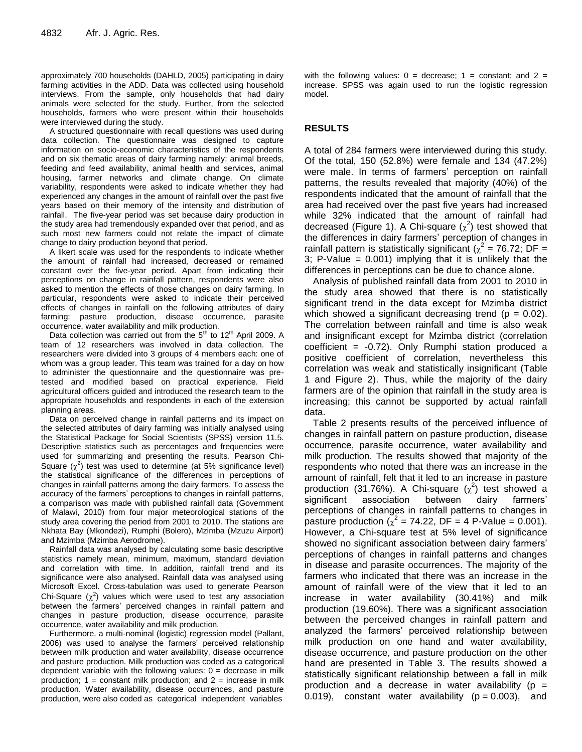approximately 700 households (DAHLD, 2005) participating in dairy farming activities in the ADD. Data was collected using household interviews. From the sample, only households that had dairy animals were selected for the study. Further, from the selected households, farmers who were present within their households were interviewed during the study.

A structured questionnaire with recall questions was used during data collection. The questionnaire was designed to capture information on socio-economic characteristics of the respondents and on six thematic areas of dairy farming namely: animal breeds, feeding and feed availability, animal health and services, animal housing, farmer networks and climate change. On climate variability, respondents were asked to indicate whether they had experienced any changes in the amount of rainfall over the past five years based on their memory of the intensity and distribution of rainfall. The five-year period was set because dairy production in the study area had tremendously expanded over that period, and as such most new farmers could not relate the impact of climate change to dairy production beyond that period.

A likert scale was used for the respondents to indicate whether the amount of rainfall had increased, decreased or remained constant over the five-year period. Apart from indicating their perceptions on change in rainfall pattern, respondents were also asked to mention the effects of those changes on dairy farming. In particular, respondents were asked to indicate their perceived effects of changes in rainfall on the following attributes of dairy farming: pasture production, disease occurrence, parasite occurrence, water availability and milk production.

Data collection was carried out from the  $5<sup>th</sup>$  to  $12<sup>th</sup>$  April 2009. A team of 12 researchers was involved in data collection. The researchers were divided into 3 groups of 4 members each: one of whom was a group leader. This team was trained for a day on how to administer the questionnaire and the questionnaire was pretested and modified based on practical experience. Field agricultural officers guided and introduced the research team to the appropriate households and respondents in each of the extension planning areas.

Data on perceived change in rainfall patterns and its impact on the selected attributes of dairy farming was initially analysed using the Statistical Package for Social Scientists (SPSS) version 11.5. Descriptive statistics such as percentages and frequencies were used for summarizing and presenting the results. Pearson Chi-Square  $(\chi^2)$  test was used to determine (at 5% significance level) the statistical significance of the differences in perceptions of changes in rainfall patterns among the dairy farmers. To assess the accuracy of the farmers' perceptions to changes in rainfall patterns, a comparison was made with published rainfall data (Government of Malawi, 2010) from four major meteorological stations of the study area covering the period from 2001 to 2010. The stations are Nkhata Bay (Mkondezi), Rumphi (Bolero), Mzimba (Mzuzu Airport) and Mzimba (Mzimba Aerodrome).

Rainfall data was analysed by calculating some basic descriptive statistics namely mean, minimum, maximum, standard deviation and correlation with time. In addition, rainfall trend and its significance were also analysed. Rainfall data was analysed using Microsoft Excel. Cross-tabulation was used to generate Pearson Chi-Square  $(\chi^2)$  values which were used to test any association between the farmers' perceived changes in rainfall pattern and changes in pasture production, disease occurrence, parasite occurrence, water availability and milk production.

Furthermore, a multi-nominal (logistic) regression model (Pallant, 2006) was used to analyse the farmers' perceived relationship between milk production and water availability, disease occurrence and pasture production. Milk production was coded as a categorical dependent variable with the following values:  $0 =$  decrease in milk production;  $1 = constant$  milk production; and  $2 = increase$  in milk production. Water availability, disease occurrences, and pasture production, were also coded as categorical independent variables

with the following values:  $0 =$  decrease:  $1 =$  constant: and  $2 =$ increase. SPSS was again used to run the logistic regression model.

## **RESULTS**

A total of 284 farmers were interviewed during this study. Of the total, 150 (52.8%) were female and 134 (47.2%) were male. In terms of farmers' perception on rainfall patterns, the results revealed that majority (40%) of the respondents indicated that the amount of rainfall that the area had received over the past five years had increased while 32% indicated that the amount of rainfall had decreased (Figure 1). A Chi-square  $(\chi^2)$  test showed that the differences in dairy farmers' perception of changes in rainfall pattern is statistically significant ( $\chi^2$  = 76.72; DF = 3; P-Value =  $0.001$ ) implying that it is unlikely that the differences in perceptions can be due to chance alone.

Analysis of published rainfall data from 2001 to 2010 in the study area showed that there is no statistically significant trend in the data except for Mzimba district which showed a significant decreasing trend ( $p = 0.02$ ). The correlation between rainfall and time is also weak and insignificant except for Mzimba district (correlation coefficient =  $-0.72$ ). Only Rumphi station produced a positive coefficient of correlation, nevertheless this correlation was weak and statistically insignificant (Table 1 and Figure 2). Thus, while the majority of the dairy farmers are of the opinion that rainfall in the study area is increasing; this cannot be supported by actual rainfall data.

Table 2 presents results of the perceived influence of changes in rainfall pattern on pasture production, disease occurrence, parasite occurrence, water availability and milk production. The results showed that majority of the respondents who noted that there was an increase in the amount of rainfall, felt that it led to an increase in pasture production (31.76%). A Chi-square  $(\chi^2)$  test showed a significant association between dairy farmers' perceptions of changes in rainfall patterns to changes in pasture production ( $\chi^2$  = 74.22, DF = 4 P-Value = 0.001). However, a Chi-square test at 5% level of significance showed no significant association between dairy farmers' perceptions of changes in rainfall patterns and changes in disease and parasite occurrences. The majority of the farmers who indicated that there was an increase in the amount of rainfall were of the view that it led to an increase in water availability (30.41%) and milk production (19.60%). There was a significant association between the perceived changes in rainfall pattern and analyzed the farmers' perceived relationship between milk production on one hand and water availability, disease occurrence, and pasture production on the other hand are presented in Table 3. The results showed a statistically significant relationship between a fall in milk production and a decrease in water availability ( $p =$ 0.019), constant water availability  $(p = 0.003)$ , and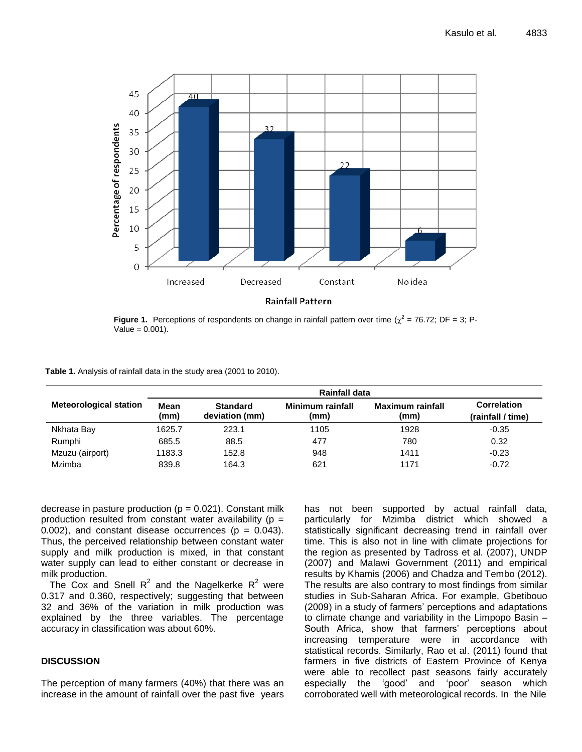

**Figure 1.** Perceptions of respondents on change in rainfall pattern over time  $(\chi^2 = 76.72; DF = 3; P - 1)$  $Value = 0.001$ ).

| Table 1. Analysis of rainfall data in the study area (2001 to 2010). |  |  |  |  |
|----------------------------------------------------------------------|--|--|--|--|
|----------------------------------------------------------------------|--|--|--|--|

|                               | <b>Rainfall data</b>                              |       |                          |                          |                                         |  |  |
|-------------------------------|---------------------------------------------------|-------|--------------------------|--------------------------|-----------------------------------------|--|--|
| <b>Meteorological station</b> | Mean<br><b>Standard</b><br>(mm)<br>deviation (mm) |       | Minimum rainfall<br>(mm) | Maximum rainfall<br>(mm) | <b>Correlation</b><br>(rainfall / time) |  |  |
| Nkhata Bay                    | 1625.7                                            | 223.1 | 1105                     | 1928                     | $-0.35$                                 |  |  |
| Rumphi                        | 685.5                                             | 88.5  | 477                      | 780                      | 0.32                                    |  |  |
| Mzuzu (airport)               | 1183.3                                            | 152.8 | 948                      | 1411                     | $-0.23$                                 |  |  |
| Mzimba                        | 839.8                                             | 164.3 | 621                      | 1171                     | $-0.72$                                 |  |  |

decrease in pasture production ( $p = 0.021$ ). Constant milk production resulted from constant water availability ( $p =$  $0.002$ ), and constant disease occurrences ( $p = 0.043$ ). Thus, the perceived relationship between constant water supply and milk production is mixed, in that constant water supply can lead to either constant or decrease in milk production.

The Cox and Snell R<sup>2</sup> and the Nagelkerke R<sup>2</sup> were 0.317 and 0.360, respectively; suggesting that between 32 and 36% of the variation in milk production was explained by the three variables. The percentage accuracy in classification was about 60%.

#### **DISCUSSION**

The perception of many farmers (40%) that there was an increase in the amount of rainfall over the past five years

has not been supported by actual rainfall data, particularly for Mzimba district which showed a statistically significant decreasing trend in rainfall over time. This is also not in line with climate projections for the region as presented by Tadross et al. (2007), UNDP (2007) and Malawi Government (2011) and empirical results by Khamis (2006) and Chadza and Tembo (2012). The results are also contrary to most findings from similar studies in Sub-Saharan Africa. For example, Gbetibouo (2009) in a study of farmers' perceptions and adaptations to climate change and variability in the Limpopo Basin – South Africa, show that farmers' perceptions about increasing temperature were in accordance with statistical records. Similarly, Rao et al. (2011) found that farmers in five districts of Eastern Province of Kenya were able to recollect past seasons fairly accurately especially the 'good' and 'poor' season which corroborated well with meteorological records. In the Nile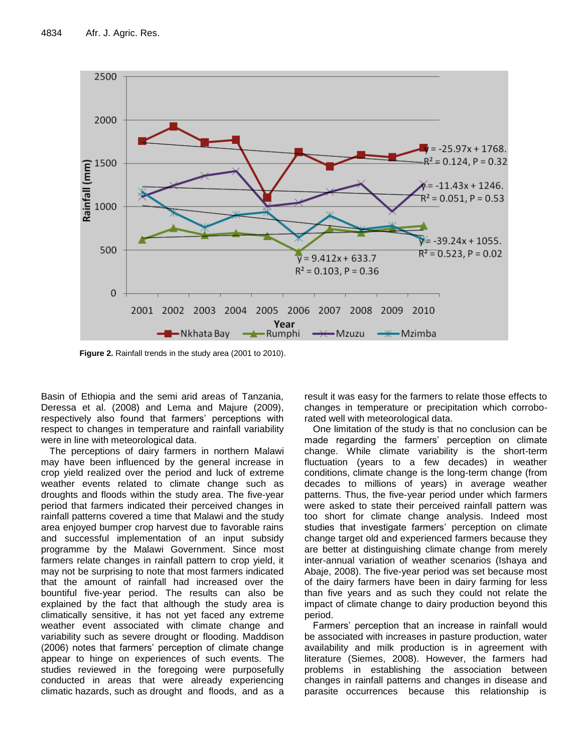

**Figure 2.** Rainfall trends in the study area (2001 to 2010).

Basin of Ethiopia and the semi arid areas of Tanzania, Deressa et al. (2008) and Lema and Majure (2009), respectively also found that farmers' perceptions with respect to changes in temperature and rainfall variability were in line with meteorological data.

The perceptions of dairy farmers in northern Malawi may have been influenced by the general increase in crop yield realized over the period and luck of extreme weather events related to climate change such as droughts and floods within the study area. The five-year period that farmers indicated their perceived changes in rainfall patterns covered a time that Malawi and the study area enjoyed bumper crop harvest due to favorable rains and successful implementation of an input subsidy programme by the Malawi Government. Since most farmers relate changes in rainfall pattern to crop yield, it may not be surprising to note that most farmers indicated that the amount of rainfall had increased over the bountiful five-year period. The results can also be explained by the fact that although the study area is climatically sensitive, it has not yet faced any extreme weather event associated with climate change and variability such as severe drought or flooding. Maddison (2006) notes that farmers' perception of climate change appear to hinge on experiences of such events. The studies reviewed in the foregoing were purposefully conducted in areas that were already experiencing climatic hazards, such as drought and floods, and as a

result it was easy for the farmers to relate those effects to changes in temperature or precipitation which corroborated well with meteorological data.

One limitation of the study is that no conclusion can be made regarding the farmers' perception on climate change. While climate variability is the short-term fluctuation (years to a few decades) in weather conditions, climate change is the long-term change (from decades to millions of years) in average weather patterns. Thus, the five-year period under which farmers were asked to state their perceived rainfall pattern was too short for climate change analysis. Indeed most studies that investigate farmers' perception on climate change target old and experienced farmers because they are better at distinguishing climate change from merely inter-annual variation of weather scenarios (Ishaya and Abaje, 2008). The five-year period was set because most of the dairy farmers have been in dairy farming for less than five years and as such they could not relate the impact of climate change to dairy production beyond this period.

Farmers' perception that an increase in rainfall would be associated with increases in pasture production, water availability and milk production is in agreement with literature (Siemes, 2008). However, the farmers had problems in establishing the association between changes in rainfall patterns and changes in disease and parasite occurrences because this relationship is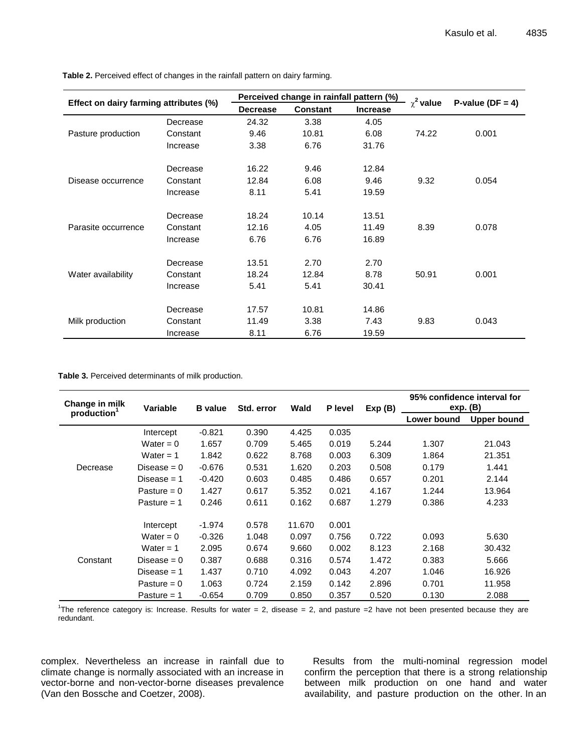| Effect on dairy farming attributes (%) |          | Perceived change in rainfall pattern (%) |                 |                 | $\chi^2$ value |                      |
|----------------------------------------|----------|------------------------------------------|-----------------|-----------------|----------------|----------------------|
|                                        |          | <b>Decrease</b>                          | <b>Constant</b> | <b>Increase</b> |                | P-value ( $DF = 4$ ) |
|                                        | Decrease | 24.32                                    | 3.38            | 4.05            |                |                      |
| Pasture production                     | Constant | 9.46                                     | 10.81           | 6.08            | 74.22          | 0.001                |
|                                        | Increase | 3.38                                     | 6.76            | 31.76           |                |                      |
|                                        | Decrease | 16.22                                    | 9.46            | 12.84           |                |                      |
| Disease occurrence                     | Constant | 12.84                                    | 6.08            | 9.46            | 9.32           | 0.054                |
|                                        | Increase | 8.11                                     | 5.41            | 19.59           |                |                      |
|                                        | Decrease | 18.24                                    | 10.14           | 13.51           |                |                      |
| Parasite occurrence                    | Constant | 12.16                                    | 4.05            | 11.49           | 8.39           | 0.078                |
|                                        | Increase | 6.76                                     | 6.76            | 16.89           |                |                      |
|                                        | Decrease | 13.51                                    | 2.70            | 2.70            |                |                      |
| Water availability                     | Constant | 18.24                                    | 12.84           | 8.78            | 50.91          | 0.001                |
|                                        | Increase | 5.41                                     | 5.41            | 30.41           |                |                      |
|                                        | Decrease | 17.57                                    | 10.81           | 14.86           |                |                      |
| Milk production                        | Constant | 11.49                                    | 3.38            | 7.43            | 9.83           | 0.043                |
|                                        | Increase | 8.11                                     | 6.76            | 19.59           |                |                      |

**Table 2.** Perceived effect of changes in the rainfall pattern on dairy farming.

#### **Table 3.** Perceived determinants of milk production.

| Change in milk<br>production | <b>Variable</b> | <b>B</b> value | Std. error | Wald   | P level | Exp(B) | 95% confidence interval for<br>exp. (B) |                    |
|------------------------------|-----------------|----------------|------------|--------|---------|--------|-----------------------------------------|--------------------|
|                              |                 |                |            |        |         |        | Lower bound                             | <b>Upper bound</b> |
|                              | Intercept       | $-0.821$       | 0.390      | 4.425  | 0.035   |        |                                         |                    |
|                              | Water = $0$     | 1.657          | 0.709      | 5.465  | 0.019   | 5.244  | 1.307                                   | 21.043             |
|                              | Water = $1$     | 1.842          | 0.622      | 8.768  | 0.003   | 6.309  | 1.864                                   | 21.351             |
| Decrease                     | Disease $= 0$   | $-0.676$       | 0.531      | 1.620  | 0.203   | 0.508  | 0.179                                   | 1.441              |
|                              | Disease $= 1$   | $-0.420$       | 0.603      | 0.485  | 0.486   | 0.657  | 0.201                                   | 2.144              |
|                              | Pasture $= 0$   | 1.427          | 0.617      | 5.352  | 0.021   | 4.167  | 1.244                                   | 13.964             |
|                              | Pasture $= 1$   | 0.246          | 0.611      | 0.162  | 0.687   | 1.279  | 0.386                                   | 4.233              |
| Constant                     | Intercept       | $-1.974$       | 0.578      | 11.670 | 0.001   |        |                                         |                    |
|                              | Water = $0$     | $-0.326$       | 1.048      | 0.097  | 0.756   | 0.722  | 0.093                                   | 5.630              |
|                              | Water = $1$     | 2.095          | 0.674      | 9.660  | 0.002   | 8.123  | 2.168                                   | 30.432             |
|                              | Disease $= 0$   | 0.387          | 0.688      | 0.316  | 0.574   | 1.472  | 0.383                                   | 5.666              |
|                              | Disease $= 1$   | 1.437          | 0.710      | 4.092  | 0.043   | 4.207  | 1.046                                   | 16.926             |
|                              | Pasture $= 0$   | 1.063          | 0.724      | 2.159  | 0.142   | 2.896  | 0.701                                   | 11.958             |
|                              | Pasture $= 1$   | $-0.654$       | 0.709      | 0.850  | 0.357   | 0.520  | 0.130                                   | 2.088              |

The reference category is: Increase. Results for water  $= 2$ , disease  $= 2$ , and pasture  $= 2$  have not been presented because they are redundant.

complex. Nevertheless an increase in rainfall due to climate change is normally associated with an increase in vector-borne and non-vector-borne diseases prevalence (Van den Bossche and Coetzer, 2008).

Results from the multi-nominal regression model confirm the perception that there is a strong relationship between milk production on one hand and water availability, and pasture production on the other. In an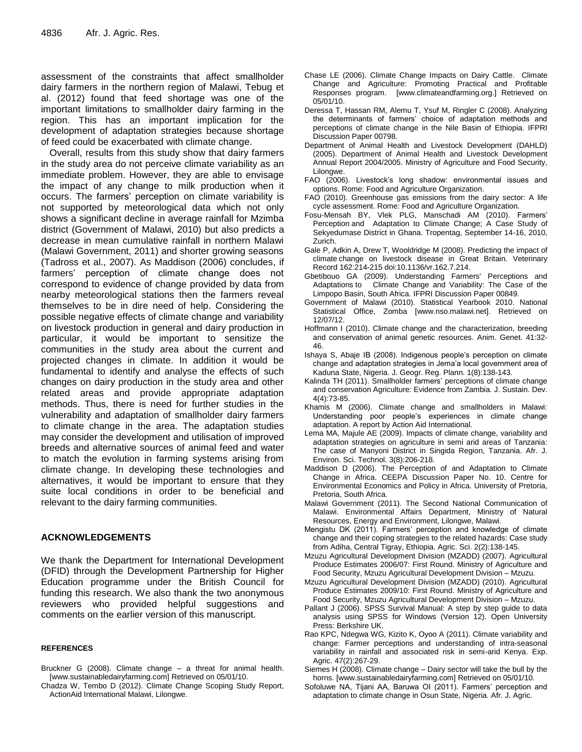assessment of the constraints that affect smallholder dairy farmers in the northern region of Malawi, Tebug et al. (2012) found that feed shortage was one of the important limitations to smallholder dairy farming in the region. This has an important implication for the development of adaptation strategies because shortage of feed could be exacerbated with climate change.

Overall, results from this study show that dairy farmers in the study area do not perceive climate variability as an immediate problem. However, they are able to envisage the impact of any change to milk production when it occurs. The farmers' perception on climate variability is not supported by meteorological data which not only shows a significant decline in average rainfall for Mzimba district (Government of Malawi, 2010) but also predicts a decrease in mean cumulative rainfall in northern Malawi (Malawi Government, 2011) and shorter growing seasons (Tadross et al., 2007). As Maddison (2006) concludes, if farmers' perception of climate change does not correspond to evidence of change provided by data from nearby meteorological stations then the farmers reveal themselves to be in dire need of help. Considering the possible negative effects of climate change and variability on livestock production in general and dairy production in particular, it would be important to sensitize the communities in the study area about the current and projected changes in climate. In addition it would be fundamental to identify and analyse the effects of such changes on dairy production in the study area and other related areas and provide appropriate adaptation methods. Thus, there is need for further studies in the vulnerability and adaptation of smallholder dairy farmers to climate change in the area. The adaptation studies may consider the development and utilisation of improved breeds and alternative sources of animal feed and water to match the evolution in farming systems arising from climate change. In developing these technologies and alternatives, it would be important to ensure that they suite local conditions in order to be beneficial and relevant to the dairy farming communities.

### **ACKNOWLEDGEMENTS**

We thank the Department for International Development (DFID) through the Development Partnership for Higher Education programme under the British Council for funding this research. We also thank the two anonymous reviewers who provided helpful suggestions and comments on the earlier version of this manuscript.

#### **REFERENCES**

- Bruckner G (2008). Climate change a threat for animal health. [www.sustainabledairyfarming.com] Retrieved on 05/01/10.
- Chadza W, Tembo D (2012). Climate Change Scoping Study Report, ActionAid International Malawi, Lilongwe.
- Chase LE (2006). Climate Change Impacts on Dairy Cattle. Climate Change and Agriculture: Promoting Practical and Profitable Responses program. [www.climateandfarming.org.] Retrieved on 05/01/10.
- Deressa T, Hassan RM, Alemu T, Ysuf M, Ringler C (2008). Analyzing the determinants of farmers' choice of adaptation methods and perceptions of climate change in the Nile Basin of Ethiopia. IFPRI Discussion Paper 00798.
- Department of Animal Health and Livestock Development (DAHLD) (2005). Department of Animal Health and Livestock Development Annual Report 2004/2005. Ministry of Agriculture and Food Security, Lilongwe.
- FAO (2006). Livestock's long shadow: environmental issues and options. Rome: Food and Agriculture Organization.
- FAO (2010). Greenhouse gas emissions from the dairy sector: A life cycle assessment. Rome: Food and Agriculture Organization.
- Fosu-Mensah BY, Vlek PLG, Manschadi AM (2010). Farmers' Perception and Adaptation to Climate Change; A Case Study of Sekyedumase District in Ghana. Tropentag, September 14-16, 2010, Zurich.
- Gale P, Adkin A, Drew T, Wooldridge M (2008). Predicting the impact of climate change on livestock disease in Great Britain. Veterinary Record 162:214-215 doi:10.1136/vr.162.7.214.
- Gbetibouo GA (2009). Understanding Farmers' Perceptions and Adaptations to Climate Change and Variability: The Case of the Limpopo Basin, South Africa. IFPRI Discussion Paper 00849.
- Government of Malawi (2010). Statistical Yearbook 2010. National Statistical Office, Zomba [www.nso.malawi.net]. Retrieved on 12/07/12.
- Hoffmann I (2010). Climate change and the characterization, breeding and conservation of animal genetic resources. Anim. Genet. 41:32- 46.
- Ishaya S, Abaje IB (2008). Indigenous people's perception on climate change and adaptation strategies in Jema'a local government area of Kaduna State, Nigeria. J. Geogr. Reg. Plann. 1(8):138-143.
- Kalinda TH (2011). Smallholder farmers' perceptions of climate change and conservation Agriculture: Evidence from Zambia. J. Sustain. Dev. 4(4):73-85.
- Khamis M (2006). Climate change and smallholders in Malawi: Understanding poor people's experiences in climate change adaptation. A report by Action Aid International.
- Lema MA, Majule AE (2009). Impacts of climate change, variability and adaptation strategies on agriculture in semi arid areas of Tanzania: The case of Manyoni District in Singida Region, Tanzania. Afr. J. Environ. Sci. Technol. 3(8):206-218.
- Maddison D (2006). The Perception of and Adaptation to Climate Change in Africa. CEEPA Discussion Paper No. 10. Centre for Environmental Economics and Policy in Africa. University of Pretoria, Pretoria, South Africa.
- Malawi Government (2011). The Second National Communication of Malawi. Environmental Affairs Department, Ministry of Natural Resources, Energy and Environment, Lilongwe, Malawi.
- Mengistu DK (2011). Farmers' perception and knowledge of climate change and their coping strategies to the related hazards: Case study from Adiha, Central Tigray, Ethiopia. Agric. Sci. 2(2):138-145.
- Mzuzu Agricultural Development Division (MZADD) (2007). Agricultural Produce Estimates 2006/07: First Round. Ministry of Agriculture and Food Security, Mzuzu Agricultural Development Division – Mzuzu.
- Mzuzu Agricultural Development Division (MZADD) (2010). Agricultural Produce Estimates 2009/10: First Round. Ministry of Agriculture and Food Security, Mzuzu Agricultural Development Division – Mzuzu.
- Pallant J (2006). SPSS Survival Manual: A step by step guide to data analysis using SPSS for Windows (Version 12). Open University Press: Berkshire UK.
- Rao KPC, Ndegwa WG, Kizito K, Oyoo A (2011). Climate variability and change: Farmer perceptions and understanding of intra-seasonal variability in rainfall and associated risk in semi-arid Kenya. Exp. Agric. 47(2):267-29.
- Siemes H (2008). Climate change Dairy sector will take the bull by the horns. [www.sustainabledairyfarming.com] Retrieved on 05/01/10.
- Sofoluwe NA, Tijani AA, Baruwa OI (2011). Farmers' perception and adaptation to climate change in Osun State, Nigeria. Afr. J. Agric.